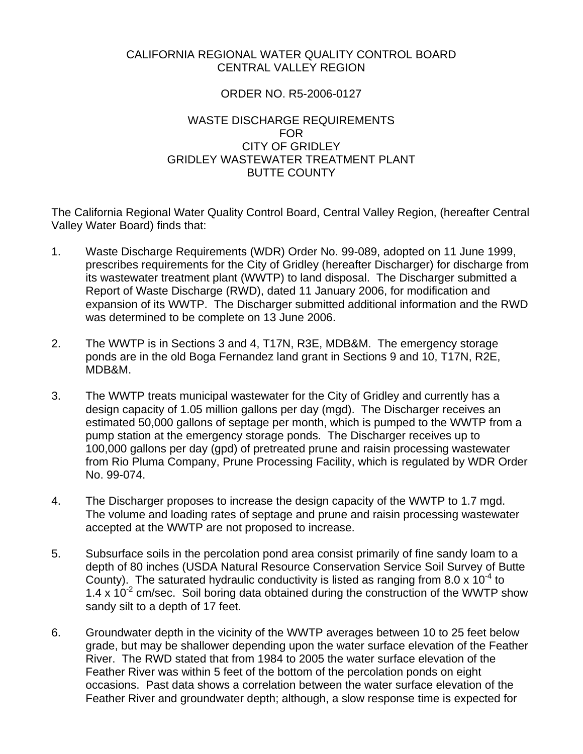# CALIFORNIA REGIONAL WATER QUALITY CONTROL BOARD CENTRAL VALLEY REGION

# ORDER NO. R5-2006-0127

# WASTE DISCHARGE REQUIREMENTS FOR CITY OF GRIDLEY GRIDLEY WASTEWATER TREATMENT PLANT BUTTE COUNTY

The California Regional Water Quality Control Board, Central Valley Region, (hereafter Central Valley Water Board) finds that:

- 1. Waste Discharge Requirements (WDR) Order No. 99-089, adopted on 11 June 1999, prescribes requirements for the City of Gridley (hereafter Discharger) for discharge from its wastewater treatment plant (WWTP) to land disposal. The Discharger submitted a Report of Waste Discharge (RWD), dated 11 January 2006, for modification and expansion of its WWTP. The Discharger submitted additional information and the RWD was determined to be complete on 13 June 2006.
- 2. The WWTP is in Sections 3 and 4, T17N, R3E, MDB&M. The emergency storage ponds are in the old Boga Fernandez land grant in Sections 9 and 10, T17N, R2E, MDB&M.
- 3. The WWTP treats municipal wastewater for the City of Gridley and currently has a design capacity of 1.05 million gallons per day (mgd). The Discharger receives an estimated 50,000 gallons of septage per month, which is pumped to the WWTP from a pump station at the emergency storage ponds. The Discharger receives up to 100,000 gallons per day (gpd) of pretreated prune and raisin processing wastewater from Rio Pluma Company, Prune Processing Facility, which is regulated by WDR Order No. 99-074.
- 4. The Discharger proposes to increase the design capacity of the WWTP to 1.7 mgd. The volume and loading rates of septage and prune and raisin processing wastewater accepted at the WWTP are not proposed to increase.
- 5. Subsurface soils in the percolation pond area consist primarily of fine sandy loam to a depth of 80 inches (USDA Natural Resource Conservation Service Soil Survey of Butte County). The saturated hydraulic conductivity is listed as ranging from 8.0 x  $10^{-4}$  to 1.4 x  $10^{-2}$  cm/sec. Soil boring data obtained during the construction of the WWTP show sandy silt to a depth of 17 feet.
- 6. Groundwater depth in the vicinity of the WWTP averages between 10 to 25 feet below grade, but may be shallower depending upon the water surface elevation of the Feather River. The RWD stated that from 1984 to 2005 the water surface elevation of the Feather River was within 5 feet of the bottom of the percolation ponds on eight occasions. Past data shows a correlation between the water surface elevation of the Feather River and groundwater depth; although, a slow response time is expected for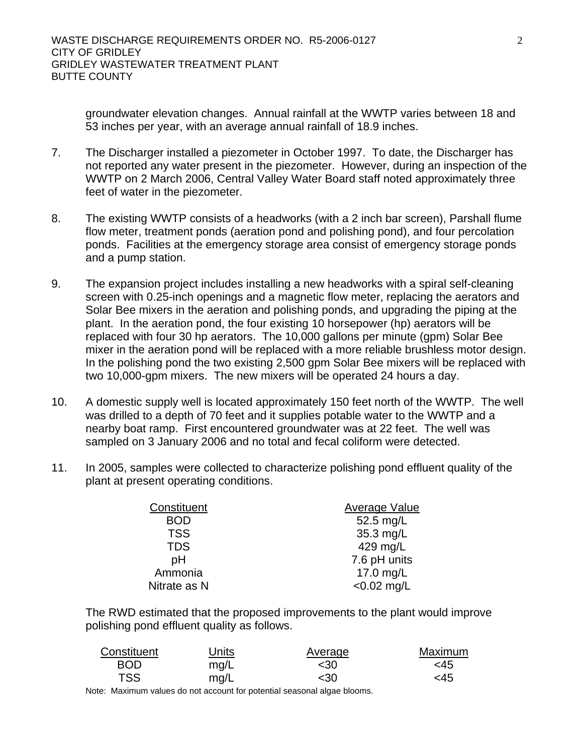groundwater elevation changes. Annual rainfall at the WWTP varies between 18 and 53 inches per year, with an average annual rainfall of 18.9 inches.

- 7. The Discharger installed a piezometer in October 1997. To date, the Discharger has not reported any water present in the piezometer. However, during an inspection of the WWTP on 2 March 2006, Central Valley Water Board staff noted approximately three feet of water in the piezometer.
- 8. The existing WWTP consists of a headworks (with a 2 inch bar screen), Parshall flume flow meter, treatment ponds (aeration pond and polishing pond), and four percolation ponds. Facilities at the emergency storage area consist of emergency storage ponds and a pump station.
- 9. The expansion project includes installing a new headworks with a spiral self-cleaning screen with 0.25-inch openings and a magnetic flow meter, replacing the aerators and Solar Bee mixers in the aeration and polishing ponds, and upgrading the piping at the plant. In the aeration pond, the four existing 10 horsepower (hp) aerators will be replaced with four 30 hp aerators. The 10,000 gallons per minute (gpm) Solar Bee mixer in the aeration pond will be replaced with a more reliable brushless motor design. In the polishing pond the two existing 2,500 gpm Solar Bee mixers will be replaced with two 10,000-gpm mixers. The new mixers will be operated 24 hours a day.
- 10. A domestic supply well is located approximately 150 feet north of the WWTP. The well was drilled to a depth of 70 feet and it supplies potable water to the WWTP and a nearby boat ramp. First encountered groundwater was at 22 feet. The well was sampled on 3 January 2006 and no total and fecal coliform were detected.
- 11. In 2005, samples were collected to characterize polishing pond effluent quality of the plant at present operating conditions.

| Constituent  | Average Value |
|--------------|---------------|
| <b>BOD</b>   | 52.5 mg/L     |
| <b>TSS</b>   | 35.3 mg/L     |
| <b>TDS</b>   | 429 mg/L      |
| pH           | 7.6 pH units  |
| Ammonia      | 17.0 mg/L     |
| Nitrate as N | $< 0.02$ mg/L |

The RWD estimated that the proposed improvements to the plant would improve polishing pond effluent quality as follows.

| Constituent | Units | Average | Maximum |
|-------------|-------|---------|---------|
| <b>BOD</b>  | mg/L  | <30     | <45     |
| <b>TSS</b>  | mq/L  | <30     | <45     |

Note: Maximum values do not account for potential seasonal algae blooms.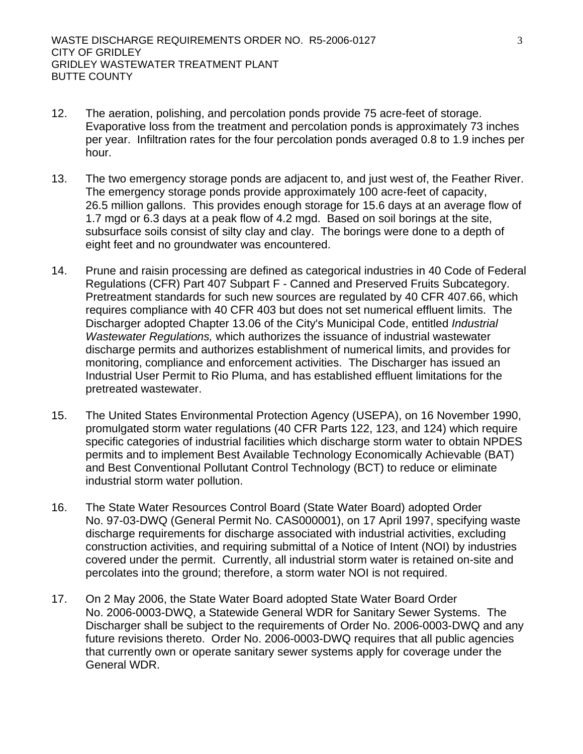- 12. The aeration, polishing, and percolation ponds provide 75 acre-feet of storage. Evaporative loss from the treatment and percolation ponds is approximately 73 inches per year. Infiltration rates for the four percolation ponds averaged 0.8 to 1.9 inches per hour.
- 13. The two emergency storage ponds are adjacent to, and just west of, the Feather River. The emergency storage ponds provide approximately 100 acre-feet of capacity, 26.5 million gallons. This provides enough storage for 15.6 days at an average flow of 1.7 mgd or 6.3 days at a peak flow of 4.2 mgd. Based on soil borings at the site, subsurface soils consist of silty clay and clay. The borings were done to a depth of eight feet and no groundwater was encountered.
- 14. Prune and raisin processing are defined as categorical industries in 40 Code of Federal Regulations (CFR) Part 407 Subpart F - Canned and Preserved Fruits Subcategory. Pretreatment standards for such new sources are regulated by 40 CFR 407.66, which requires compliance with 40 CFR 403 but does not set numerical effluent limits. The Discharger adopted Chapter 13.06 of the City's Municipal Code, entitled *Industrial Wastewater Regulations,* which authorizes the issuance of industrial wastewater discharge permits and authorizes establishment of numerical limits, and provides for monitoring, compliance and enforcement activities. The Discharger has issued an Industrial User Permit to Rio Pluma, and has established effluent limitations for the pretreated wastewater.
- 15. The United States Environmental Protection Agency (USEPA), on 16 November 1990, promulgated storm water regulations (40 CFR Parts 122, 123, and 124) which require specific categories of industrial facilities which discharge storm water to obtain NPDES permits and to implement Best Available Technology Economically Achievable (BAT) and Best Conventional Pollutant Control Technology (BCT) to reduce or eliminate industrial storm water pollution.
- 16. The State Water Resources Control Board (State Water Board) adopted Order No. 97-03-DWQ (General Permit No. CAS000001), on 17 April 1997, specifying waste discharge requirements for discharge associated with industrial activities, excluding construction activities, and requiring submittal of a Notice of Intent (NOI) by industries covered under the permit. Currently, all industrial storm water is retained on-site and percolates into the ground; therefore, a storm water NOI is not required.
- 17. On 2 May 2006, the State Water Board adopted State Water Board Order No. 2006-0003-DWQ, a Statewide General WDR for Sanitary Sewer Systems. The Discharger shall be subject to the requirements of Order No. 2006-0003-DWQ and any future revisions thereto. Order No. 2006-0003-DWQ requires that all public agencies that currently own or operate sanitary sewer systems apply for coverage under the General WDR.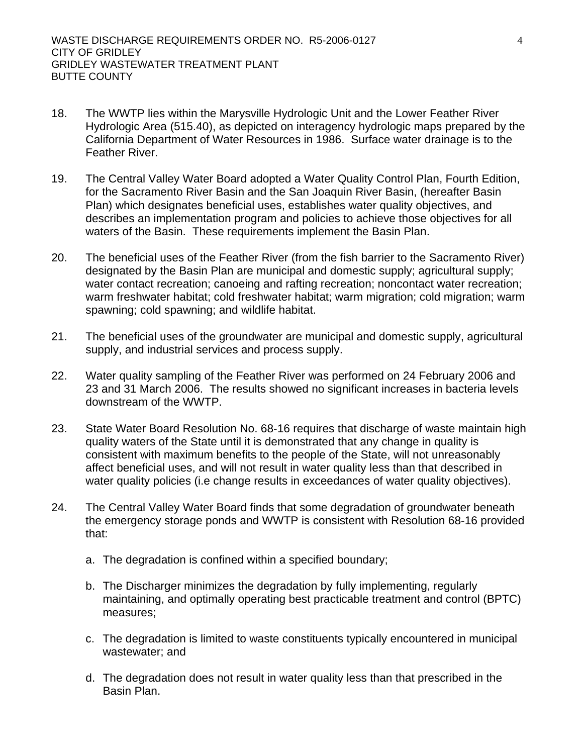- 18. The WWTP lies within the Marysville Hydrologic Unit and the Lower Feather River Hydrologic Area (515.40), as depicted on interagency hydrologic maps prepared by the California Department of Water Resources in 1986. Surface water drainage is to the Feather River.
- 19. The Central Valley Water Board adopted a Water Quality Control Plan, Fourth Edition, for the Sacramento River Basin and the San Joaquin River Basin, (hereafter Basin Plan) which designates beneficial uses, establishes water quality objectives, and describes an implementation program and policies to achieve those objectives for all waters of the Basin. These requirements implement the Basin Plan.
- 20. The beneficial uses of the Feather River (from the fish barrier to the Sacramento River) designated by the Basin Plan are municipal and domestic supply; agricultural supply; water contact recreation; canoeing and rafting recreation; noncontact water recreation; warm freshwater habitat; cold freshwater habitat; warm migration; cold migration; warm spawning; cold spawning; and wildlife habitat.
- 21. The beneficial uses of the groundwater are municipal and domestic supply, agricultural supply, and industrial services and process supply.
- 22. Water quality sampling of the Feather River was performed on 24 February 2006 and 23 and 31 March 2006. The results showed no significant increases in bacteria levels downstream of the WWTP.
- 23. State Water Board Resolution No. 68-16 requires that discharge of waste maintain high quality waters of the State until it is demonstrated that any change in quality is consistent with maximum benefits to the people of the State, will not unreasonably affect beneficial uses, and will not result in water quality less than that described in water quality policies (i.e change results in exceedances of water quality objectives).
- 24. The Central Valley Water Board finds that some degradation of groundwater beneath the emergency storage ponds and WWTP is consistent with Resolution 68-16 provided that:
	- a. The degradation is confined within a specified boundary;
	- b. The Discharger minimizes the degradation by fully implementing, regularly maintaining, and optimally operating best practicable treatment and control (BPTC) measures;
	- c. The degradation is limited to waste constituents typically encountered in municipal wastewater; and
	- d. The degradation does not result in water quality less than that prescribed in the Basin Plan.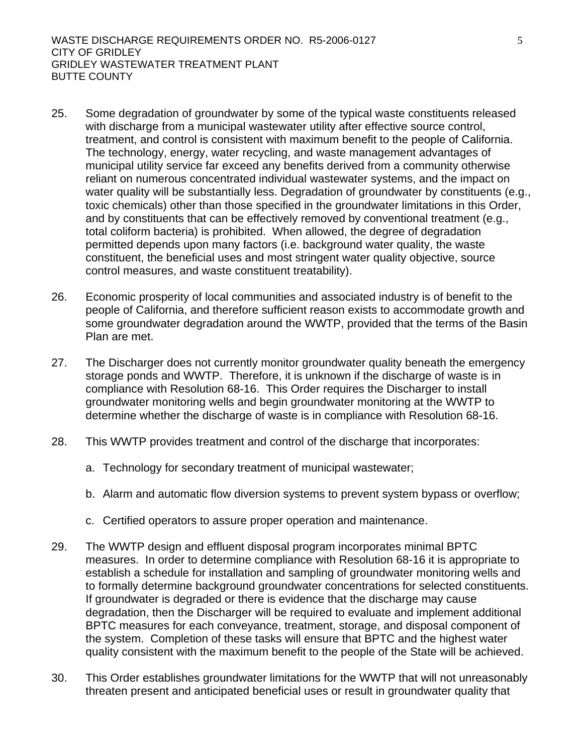- 25. Some degradation of groundwater by some of the typical waste constituents released with discharge from a municipal wastewater utility after effective source control, treatment, and control is consistent with maximum benefit to the people of California. The technology, energy, water recycling, and waste management advantages of municipal utility service far exceed any benefits derived from a community otherwise reliant on numerous concentrated individual wastewater systems, and the impact on water quality will be substantially less. Degradation of groundwater by constituents (e.g., toxic chemicals) other than those specified in the groundwater limitations in this Order, and by constituents that can be effectively removed by conventional treatment (e.g., total coliform bacteria) is prohibited. When allowed, the degree of degradation permitted depends upon many factors (i.e. background water quality, the waste constituent, the beneficial uses and most stringent water quality objective, source control measures, and waste constituent treatability).
- 26. Economic prosperity of local communities and associated industry is of benefit to the people of California, and therefore sufficient reason exists to accommodate growth and some groundwater degradation around the WWTP, provided that the terms of the Basin Plan are met.
- 27. The Discharger does not currently monitor groundwater quality beneath the emergency storage ponds and WWTP. Therefore, it is unknown if the discharge of waste is in compliance with Resolution 68-16. This Order requires the Discharger to install groundwater monitoring wells and begin groundwater monitoring at the WWTP to determine whether the discharge of waste is in compliance with Resolution 68-16.
- 28. This WWTP provides treatment and control of the discharge that incorporates:
	- a. Technology for secondary treatment of municipal wastewater;
	- b. Alarm and automatic flow diversion systems to prevent system bypass or overflow;
	- c. Certified operators to assure proper operation and maintenance.
- 29. The WWTP design and effluent disposal program incorporates minimal BPTC measures. In order to determine compliance with Resolution 68-16 it is appropriate to establish a schedule for installation and sampling of groundwater monitoring wells and to formally determine background groundwater concentrations for selected constituents. If groundwater is degraded or there is evidence that the discharge may cause degradation, then the Discharger will be required to evaluate and implement additional BPTC measures for each conveyance, treatment, storage, and disposal component of the system. Completion of these tasks will ensure that BPTC and the highest water quality consistent with the maximum benefit to the people of the State will be achieved.
- 30. This Order establishes groundwater limitations for the WWTP that will not unreasonably threaten present and anticipated beneficial uses or result in groundwater quality that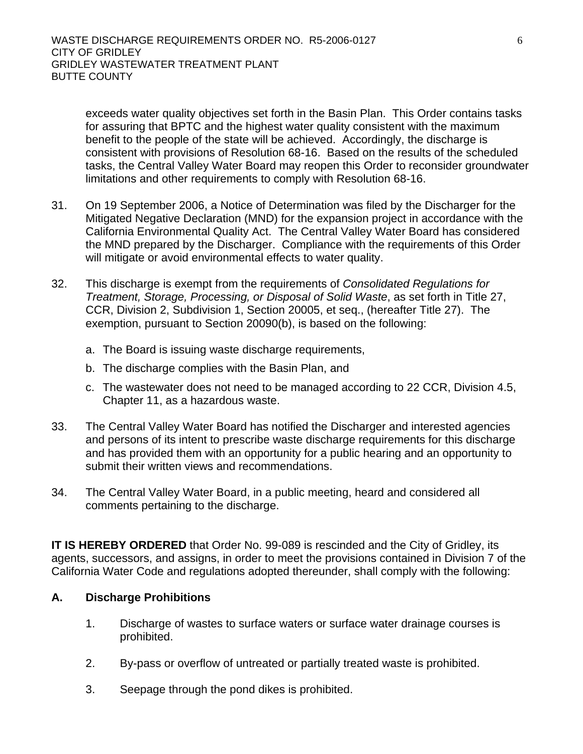exceeds water quality objectives set forth in the Basin Plan. This Order contains tasks for assuring that BPTC and the highest water quality consistent with the maximum benefit to the people of the state will be achieved. Accordingly, the discharge is consistent with provisions of Resolution 68-16. Based on the results of the scheduled tasks, the Central Valley Water Board may reopen this Order to reconsider groundwater limitations and other requirements to comply with Resolution 68-16.

- 31. On 19 September 2006, a Notice of Determination was filed by the Discharger for the Mitigated Negative Declaration (MND) for the expansion project in accordance with the California Environmental Quality Act. The Central Valley Water Board has considered the MND prepared by the Discharger. Compliance with the requirements of this Order will mitigate or avoid environmental effects to water quality.
- 32. This discharge is exempt from the requirements of *Consolidated Regulations for Treatment, Storage, Processing, or Disposal of Solid Waste*, as set forth in Title 27, CCR, Division 2, Subdivision 1, Section 20005, et seq., (hereafter Title 27). The exemption, pursuant to Section 20090(b), is based on the following:
	- a. The Board is issuing waste discharge requirements,
	- b. The discharge complies with the Basin Plan, and
	- c. The wastewater does not need to be managed according to 22 CCR, Division 4.5, Chapter 11, as a hazardous waste.
- 33. The Central Valley Water Board has notified the Discharger and interested agencies and persons of its intent to prescribe waste discharge requirements for this discharge and has provided them with an opportunity for a public hearing and an opportunity to submit their written views and recommendations.
- 34. The Central Valley Water Board, in a public meeting, heard and considered all comments pertaining to the discharge.

**IT IS HEREBY ORDERED** that Order No. 99-089 is rescinded and the City of Gridley, its agents, successors, and assigns, in order to meet the provisions contained in Division 7 of the California Water Code and regulations adopted thereunder, shall comply with the following:

# **A. Discharge Prohibitions**

- 1. Discharge of wastes to surface waters or surface water drainage courses is prohibited.
- 2. By-pass or overflow of untreated or partially treated waste is prohibited.
- 3. Seepage through the pond dikes is prohibited.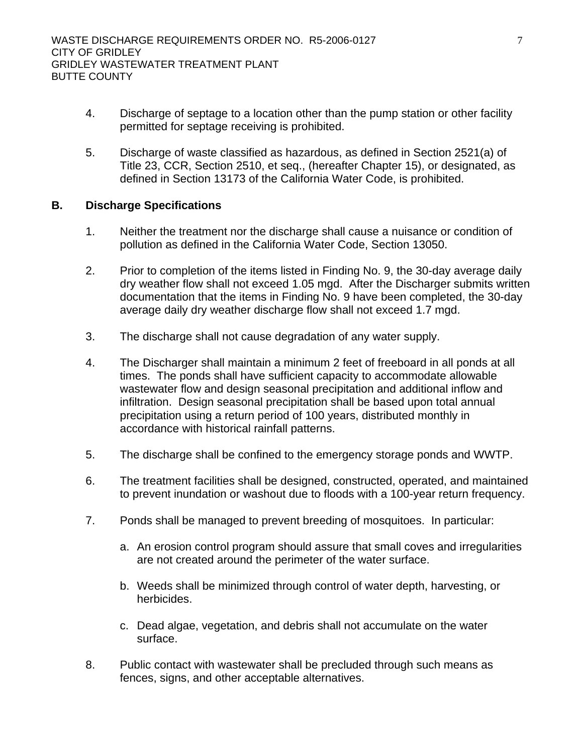- 4. Discharge of septage to a location other than the pump station or other facility permitted for septage receiving is prohibited.
- 5. Discharge of waste classified as hazardous, as defined in Section 2521(a) of Title 23, CCR, Section 2510, et seq., (hereafter Chapter 15), or designated, as defined in Section 13173 of the California Water Code, is prohibited.

#### **B. Discharge Specifications**

- 1. Neither the treatment nor the discharge shall cause a nuisance or condition of pollution as defined in the California Water Code, Section 13050.
- 2. Prior to completion of the items listed in Finding No. 9, the 30-day average daily dry weather flow shall not exceed 1.05 mgd. After the Discharger submits written documentation that the items in Finding No. 9 have been completed, the 30-day average daily dry weather discharge flow shall not exceed 1.7 mgd.
- 3. The discharge shall not cause degradation of any water supply.
- 4. The Discharger shall maintain a minimum 2 feet of freeboard in all ponds at all times. The ponds shall have sufficient capacity to accommodate allowable wastewater flow and design seasonal precipitation and additional inflow and infiltration. Design seasonal precipitation shall be based upon total annual precipitation using a return period of 100 years, distributed monthly in accordance with historical rainfall patterns.
- 5. The discharge shall be confined to the emergency storage ponds and WWTP.
- 6. The treatment facilities shall be designed, constructed, operated, and maintained to prevent inundation or washout due to floods with a 100-year return frequency.
- 7. Ponds shall be managed to prevent breeding of mosquitoes. In particular:
	- a. An erosion control program should assure that small coves and irregularities are not created around the perimeter of the water surface.
	- b. Weeds shall be minimized through control of water depth, harvesting, or herbicides.
	- c. Dead algae, vegetation, and debris shall not accumulate on the water surface.
- 8. Public contact with wastewater shall be precluded through such means as fences, signs, and other acceptable alternatives.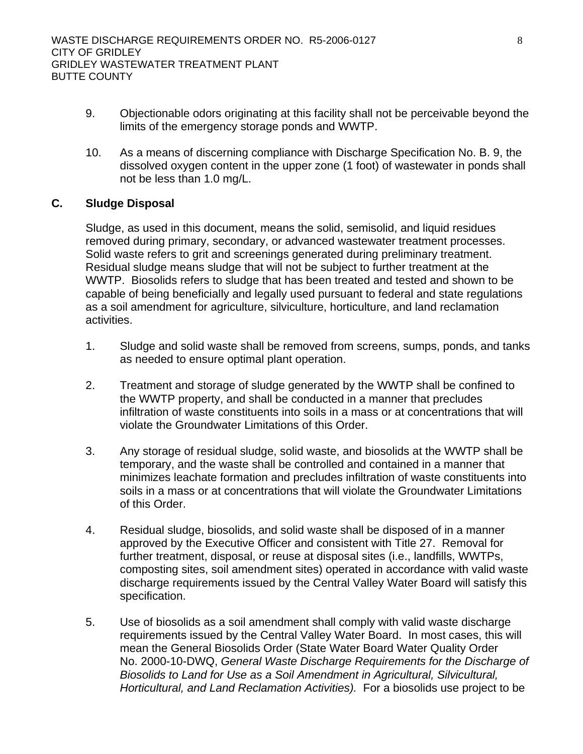- 9. Objectionable odors originating at this facility shall not be perceivable beyond the limits of the emergency storage ponds and WWTP.
- 10. As a means of discerning compliance with Discharge Specification No. B. 9, the dissolved oxygen content in the upper zone (1 foot) of wastewater in ponds shall not be less than 1.0 mg/L.

#### **C. Sludge Disposal**

Sludge, as used in this document, means the solid, semisolid, and liquid residues removed during primary, secondary, or advanced wastewater treatment processes. Solid waste refers to grit and screenings generated during preliminary treatment. Residual sludge means sludge that will not be subject to further treatment at the WWTP. Biosolids refers to sludge that has been treated and tested and shown to be capable of being beneficially and legally used pursuant to federal and state regulations as a soil amendment for agriculture, silviculture, horticulture, and land reclamation activities.

- 1. Sludge and solid waste shall be removed from screens, sumps, ponds, and tanks as needed to ensure optimal plant operation.
- 2. Treatment and storage of sludge generated by the WWTP shall be confined to the WWTP property, and shall be conducted in a manner that precludes infiltration of waste constituents into soils in a mass or at concentrations that will violate the Groundwater Limitations of this Order.
- 3. Any storage of residual sludge, solid waste, and biosolids at the WWTP shall be temporary, and the waste shall be controlled and contained in a manner that minimizes leachate formation and precludes infiltration of waste constituents into soils in a mass or at concentrations that will violate the Groundwater Limitations of this Order.
- 4. Residual sludge, biosolids, and solid waste shall be disposed of in a manner approved by the Executive Officer and consistent with Title 27. Removal for further treatment, disposal, or reuse at disposal sites (i.e., landfills, WWTPs, composting sites, soil amendment sites) operated in accordance with valid waste discharge requirements issued by the Central Valley Water Board will satisfy this specification.
- 5. Use of biosolids as a soil amendment shall comply with valid waste discharge requirements issued by the Central Valley Water Board. In most cases, this will mean the General Biosolids Order (State Water Board Water Quality Order No. 2000-10-DWQ, *General Waste Discharge Requirements for the Discharge of Biosolids to Land for Use as a Soil Amendment in Agricultural, Silvicultural, Horticultural, and Land Reclamation Activities).* For a biosolids use project to be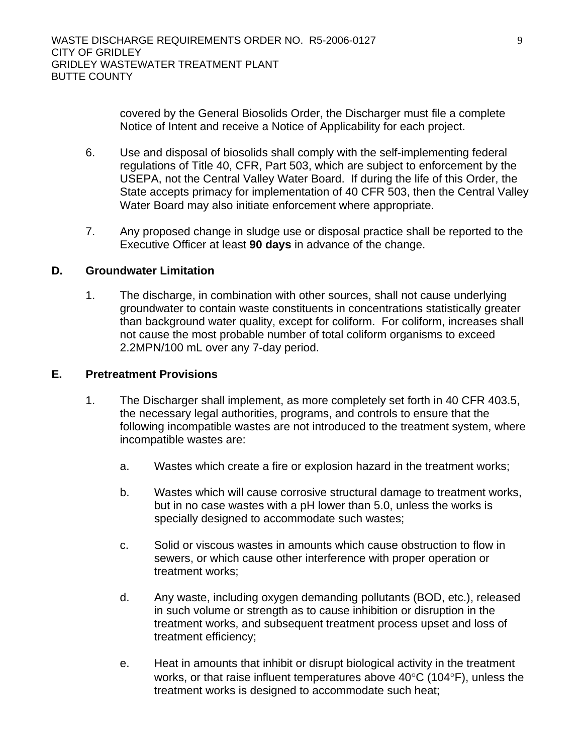covered by the General Biosolids Order, the Discharger must file a complete Notice of Intent and receive a Notice of Applicability for each project.

- 6. Use and disposal of biosolids shall comply with the self-implementing federal regulations of Title 40, CFR, Part 503, which are subject to enforcement by the USEPA, not the Central Valley Water Board. If during the life of this Order, the State accepts primacy for implementation of 40 CFR 503, then the Central Valley Water Board may also initiate enforcement where appropriate.
- 7. Any proposed change in sludge use or disposal practice shall be reported to the Executive Officer at least **90 days** in advance of the change.

#### **D. Groundwater Limitation**

1. The discharge, in combination with other sources, shall not cause underlying groundwater to contain waste constituents in concentrations statistically greater than background water quality, except for coliform. For coliform, increases shall not cause the most probable number of total coliform organisms to exceed 2.2MPN/100 mL over any 7-day period.

#### **E. Pretreatment Provisions**

- 1. The Discharger shall implement, as more completely set forth in 40 CFR 403.5, the necessary legal authorities, programs, and controls to ensure that the following incompatible wastes are not introduced to the treatment system, where incompatible wastes are:
	- a. Wastes which create a fire or explosion hazard in the treatment works;
	- b. Wastes which will cause corrosive structural damage to treatment works, but in no case wastes with a pH lower than 5.0, unless the works is specially designed to accommodate such wastes;
	- c. Solid or viscous wastes in amounts which cause obstruction to flow in sewers, or which cause other interference with proper operation or treatment works;
	- d. Any waste, including oxygen demanding pollutants (BOD, etc.), released in such volume or strength as to cause inhibition or disruption in the treatment works, and subsequent treatment process upset and loss of treatment efficiency;
	- e. Heat in amounts that inhibit or disrupt biological activity in the treatment works, or that raise influent temperatures above 40°C (104°F), unless the treatment works is designed to accommodate such heat;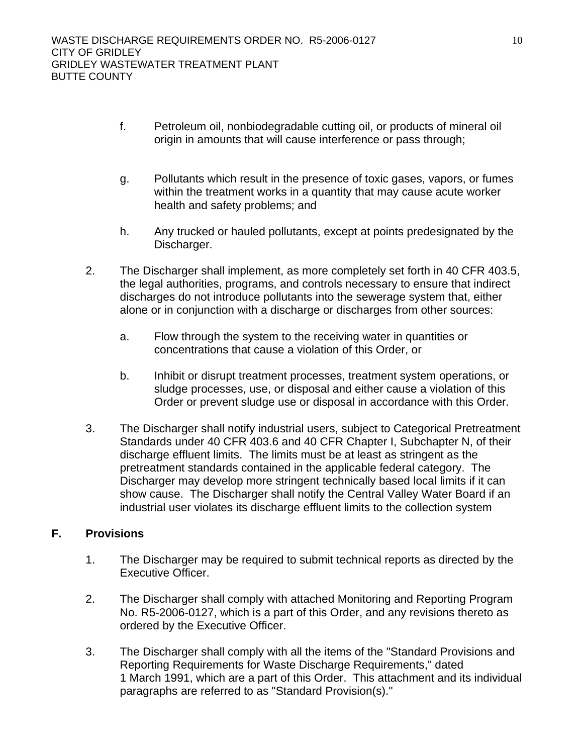- f. Petroleum oil, nonbiodegradable cutting oil, or products of mineral oil origin in amounts that will cause interference or pass through;
- g. Pollutants which result in the presence of toxic gases, vapors, or fumes within the treatment works in a quantity that may cause acute worker health and safety problems; and
- h. Any trucked or hauled pollutants, except at points predesignated by the Discharger.
- 2. The Discharger shall implement, as more completely set forth in 40 CFR 403.5, the legal authorities, programs, and controls necessary to ensure that indirect discharges do not introduce pollutants into the sewerage system that, either alone or in conjunction with a discharge or discharges from other sources:
	- a. Flow through the system to the receiving water in quantities or concentrations that cause a violation of this Order, or
	- b. Inhibit or disrupt treatment processes, treatment system operations, or sludge processes, use, or disposal and either cause a violation of this Order or prevent sludge use or disposal in accordance with this Order.
- 3. The Discharger shall notify industrial users, subject to Categorical Pretreatment Standards under 40 CFR 403.6 and 40 CFR Chapter I, Subchapter N, of their discharge effluent limits. The limits must be at least as stringent as the pretreatment standards contained in the applicable federal category. The Discharger may develop more stringent technically based local limits if it can show cause. The Discharger shall notify the Central Valley Water Board if an industrial user violates its discharge effluent limits to the collection system

# **F. Provisions**

- 1. The Discharger may be required to submit technical reports as directed by the Executive Officer.
- 2. The Discharger shall comply with attached Monitoring and Reporting Program No. R5-2006-0127, which is a part of this Order, and any revisions thereto as ordered by the Executive Officer.
- 3. The Discharger shall comply with all the items of the "Standard Provisions and Reporting Requirements for Waste Discharge Requirements," dated 1 March 1991, which are a part of this Order. This attachment and its individual paragraphs are referred to as "Standard Provision(s)."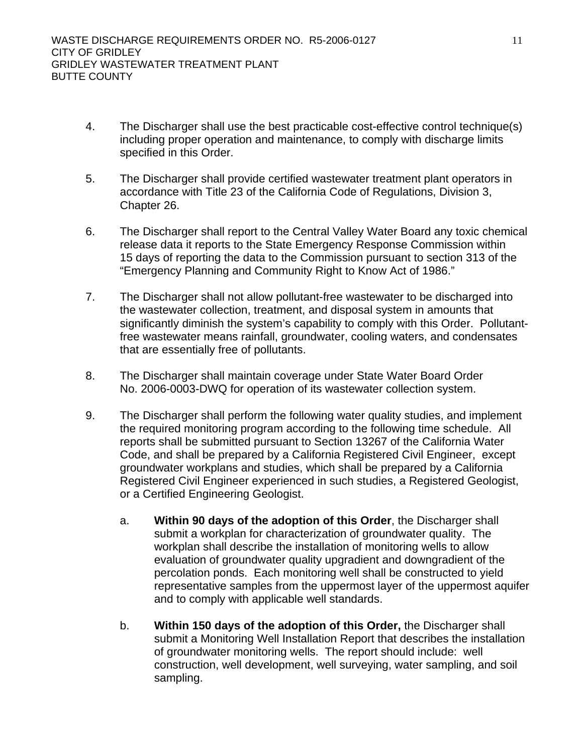- 4. The Discharger shall use the best practicable cost-effective control technique(s) including proper operation and maintenance, to comply with discharge limits specified in this Order.
- 5. The Discharger shall provide certified wastewater treatment plant operators in accordance with Title 23 of the California Code of Regulations, Division 3, Chapter 26.
- 6. The Discharger shall report to the Central Valley Water Board any toxic chemical release data it reports to the State Emergency Response Commission within 15 days of reporting the data to the Commission pursuant to section 313 of the "Emergency Planning and Community Right to Know Act of 1986."
- 7. The Discharger shall not allow pollutant-free wastewater to be discharged into the wastewater collection, treatment, and disposal system in amounts that significantly diminish the system's capability to comply with this Order. Pollutantfree wastewater means rainfall, groundwater, cooling waters, and condensates that are essentially free of pollutants.
- 8. The Discharger shall maintain coverage under State Water Board Order No. 2006-0003-DWQ for operation of its wastewater collection system.
- 9. The Discharger shall perform the following water quality studies, and implement the required monitoring program according to the following time schedule. All reports shall be submitted pursuant to Section 13267 of the California Water Code, and shall be prepared by a California Registered Civil Engineer, except groundwater workplans and studies, which shall be prepared by a California Registered Civil Engineer experienced in such studies, a Registered Geologist, or a Certified Engineering Geologist.
	- a. **Within 90 days of the adoption of this Order**, the Discharger shall submit a workplan for characterization of groundwater quality. The workplan shall describe the installation of monitoring wells to allow evaluation of groundwater quality upgradient and downgradient of the percolation ponds. Each monitoring well shall be constructed to yield representative samples from the uppermost layer of the uppermost aquifer and to comply with applicable well standards.
	- b. **Within 150 days of the adoption of this Order,** the Discharger shall submit a Monitoring Well Installation Report that describes the installation of groundwater monitoring wells. The report should include: well construction, well development, well surveying, water sampling, and soil sampling.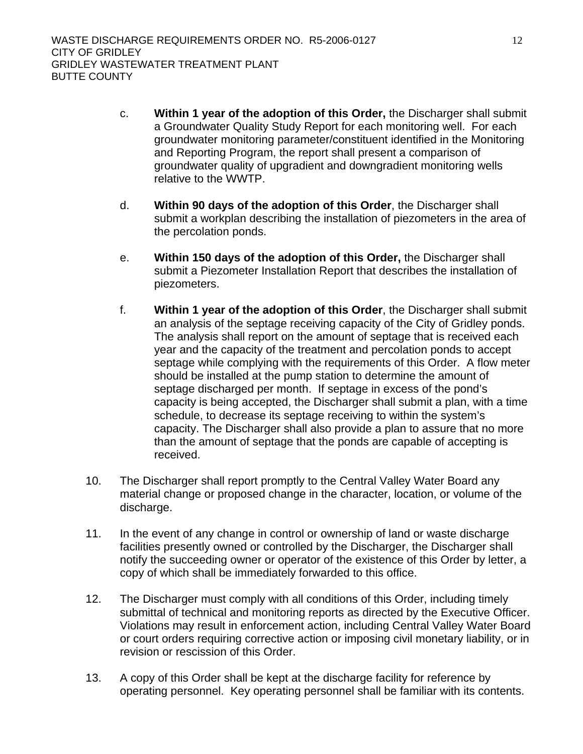- c. **Within 1 year of the adoption of this Order,** the Discharger shall submit a Groundwater Quality Study Report for each monitoring well. For each groundwater monitoring parameter/constituent identified in the Monitoring and Reporting Program, the report shall present a comparison of groundwater quality of upgradient and downgradient monitoring wells relative to the WWTP.
- d. **Within 90 days of the adoption of this Order**, the Discharger shall submit a workplan describing the installation of piezometers in the area of the percolation ponds.
- e. **Within 150 days of the adoption of this Order,** the Discharger shall submit a Piezometer Installation Report that describes the installation of piezometers.
- f. **Within 1 year of the adoption of this Order**, the Discharger shall submit an analysis of the septage receiving capacity of the City of Gridley ponds. The analysis shall report on the amount of septage that is received each year and the capacity of the treatment and percolation ponds to accept septage while complying with the requirements of this Order. A flow meter should be installed at the pump station to determine the amount of septage discharged per month. If septage in excess of the pond's capacity is being accepted, the Discharger shall submit a plan, with a time schedule, to decrease its septage receiving to within the system's capacity. The Discharger shall also provide a plan to assure that no more than the amount of septage that the ponds are capable of accepting is received.
- 10. The Discharger shall report promptly to the Central Valley Water Board any material change or proposed change in the character, location, or volume of the discharge.
- 11. In the event of any change in control or ownership of land or waste discharge facilities presently owned or controlled by the Discharger, the Discharger shall notify the succeeding owner or operator of the existence of this Order by letter, a copy of which shall be immediately forwarded to this office.
- 12. The Discharger must comply with all conditions of this Order, including timely submittal of technical and monitoring reports as directed by the Executive Officer. Violations may result in enforcement action, including Central Valley Water Board or court orders requiring corrective action or imposing civil monetary liability, or in revision or rescission of this Order.
- 13. A copy of this Order shall be kept at the discharge facility for reference by operating personnel. Key operating personnel shall be familiar with its contents.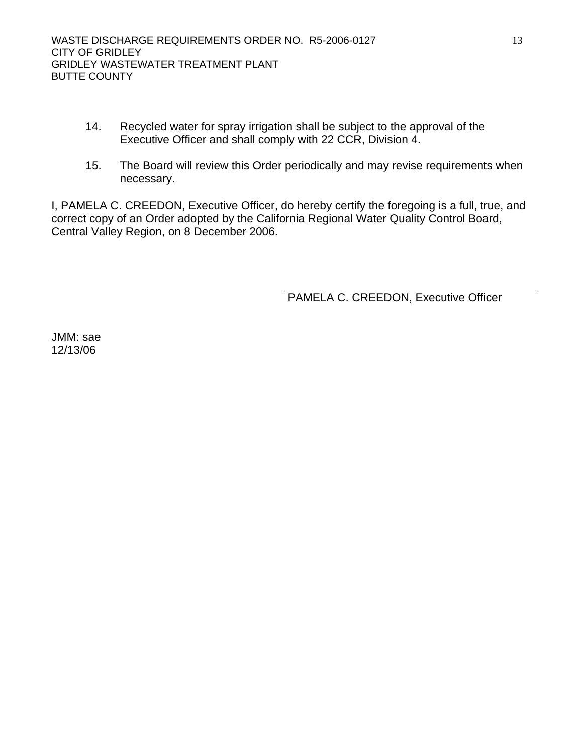- 14. Recycled water for spray irrigation shall be subject to the approval of the Executive Officer and shall comply with 22 CCR, Division 4.
- 15. The Board will review this Order periodically and may revise requirements when necessary.

I, PAMELA C. CREEDON, Executive Officer, do hereby certify the foregoing is a full, true, and correct copy of an Order adopted by the California Regional Water Quality Control Board, Central Valley Region, on 8 December 2006.

PAMELA C. CREEDON, Executive Officer

JMM: sae 12/13/06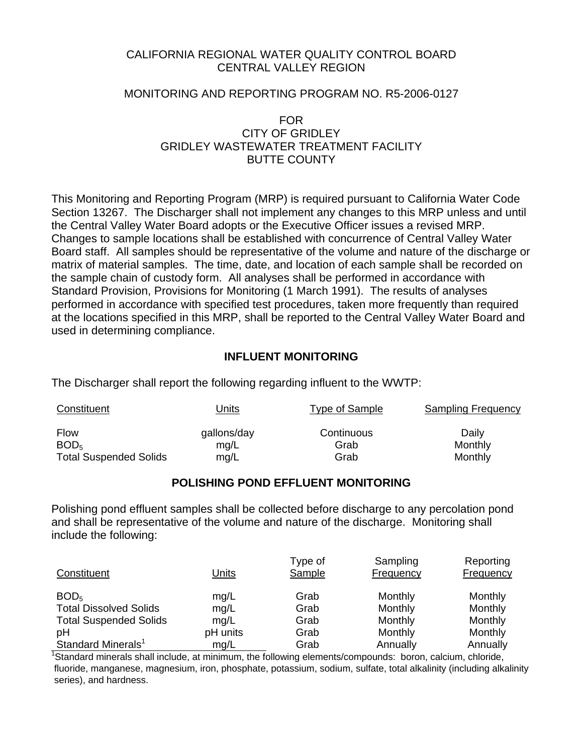# CALIFORNIA REGIONAL WATER QUALITY CONTROL BOARD CENTRAL VALLEY REGION

#### MONITORING AND REPORTING PROGRAM NO. R5-2006-0127

#### FOR CITY OF GRIDI FY GRIDLEY WASTEWATER TREATMENT FACILITY BUTTE COUNTY

This Monitoring and Reporting Program (MRP) is required pursuant to California Water Code Section 13267. The Discharger shall not implement any changes to this MRP unless and until the Central Valley Water Board adopts or the Executive Officer issues a revised MRP. Changes to sample locations shall be established with concurrence of Central Valley Water Board staff. All samples should be representative of the volume and nature of the discharge or matrix of material samples. The time, date, and location of each sample shall be recorded on the sample chain of custody form. All analyses shall be performed in accordance with Standard Provision, Provisions for Monitoring (1 March 1991). The results of analyses performed in accordance with specified test procedures, taken more frequently than required at the locations specified in this MRP, shall be reported to the Central Valley Water Board and used in determining compliance.

## **INFLUENT MONITORING**

The Discharger shall report the following regarding influent to the WWTP:

| Constituent                   | Jnits       | Type of Sample | <b>Sampling Frequency</b> |
|-------------------------------|-------------|----------------|---------------------------|
| <b>Flow</b>                   | gallons/day | Continuous     | Daily                     |
| BOD <sub>5</sub>              | mg/L        | Grab           | Monthly                   |
| <b>Total Suspended Solids</b> | mg/L        | Grab           | Monthly                   |

#### **POLISHING POND EFFLUENT MONITORING**

Polishing pond effluent samples shall be collected before discharge to any percolation pond and shall be representative of the volume and nature of the discharge. Monitoring shall include the following:

| Constituent                    | Units    | Type of<br>Sample | Sampling<br>Frequency | Reporting<br>Frequency |
|--------------------------------|----------|-------------------|-----------------------|------------------------|
| BOD <sub>5</sub>               | mg/L     | Grab              | Monthly               | Monthly                |
| <b>Total Dissolved Solids</b>  | mg/L     | Grab              | Monthly               | Monthly                |
| <b>Total Suspended Solids</b>  | mg/L     | Grab              | Monthly               | Monthly                |
| рH                             | pH units | Grab              | Monthly               | Monthly                |
| Standard Minerals <sup>1</sup> | mq/L     | Grab              | Annually              | Annually               |

<sup>1</sup>Standard minerals shall include, at minimum, the following elements/compounds: boron, calcium, chloride, fluoride, manganese, magnesium, iron, phosphate, potassium, sodium, sulfate, total alkalinity (including alkalinity series), and hardness.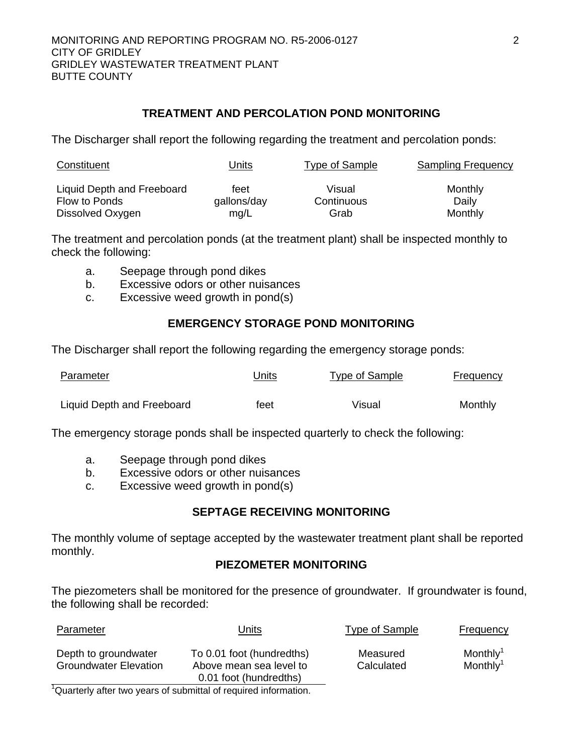# **TREATMENT AND PERCOLATION POND MONITORING**

The Discharger shall report the following regarding the treatment and percolation ponds:

| Constituent                | <u> Units</u> | <b>Type of Sample</b> | <b>Sampling Frequency</b> |
|----------------------------|---------------|-----------------------|---------------------------|
| Liquid Depth and Freeboard | feet          | Visual                | Monthly                   |
| Flow to Ponds              | gallons/day   | Continuous            | Daily                     |
| Dissolved Oxygen           | mg/L          | Grab                  | Monthly                   |

The treatment and percolation ponds (at the treatment plant) shall be inspected monthly to check the following:

- a. Seepage through pond dikes
- b. Excessive odors or other nuisances
- c. Excessive weed growth in pond(s)

# **EMERGENCY STORAGE POND MONITORING**

The Discharger shall report the following regarding the emergency storage ponds:

| Parameter                  | Jnits | Type of Sample | Frequency |
|----------------------------|-------|----------------|-----------|
| Liquid Depth and Freeboard | feet  | Visual         | Monthly   |

The emergency storage ponds shall be inspected quarterly to check the following:

- a. Seepage through pond dikes
- b. Excessive odors or other nuisances
- c. Excessive weed growth in pond(s)

# **SEPTAGE RECEIVING MONITORING**

The monthly volume of septage accepted by the wastewater treatment plant shall be reported monthly.

# **PIEZOMETER MONITORING**

The piezometers shall be monitored for the presence of groundwater. If groundwater is found, the following shall be recorded:

| Parameter                                            | Units                                                                          | Type of Sample         | Frequency                                    |
|------------------------------------------------------|--------------------------------------------------------------------------------|------------------------|----------------------------------------------|
| Depth to groundwater<br><b>Groundwater Elevation</b> | To 0.01 foot (hundredths)<br>Above mean sea level to<br>0.01 foot (hundredths) | Measured<br>Calculated | Monthly <sup>1</sup><br>Monthly <sup>1</sup> |
| $1 -$<br>.                                           |                                                                                |                        |                                              |

<sup>1</sup>Quarterly after two years of submittal of required information.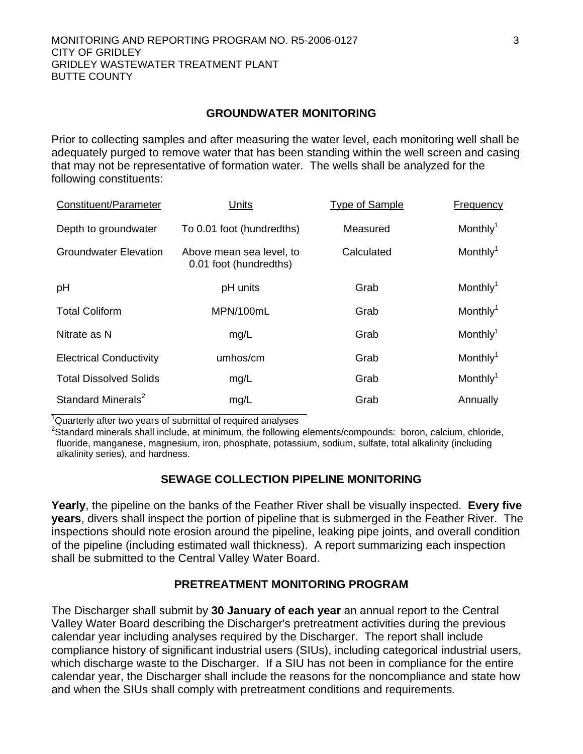#### **GROUNDWATER MONITORING**

Prior to collecting samples and after measuring the water level, each monitoring well shall be adequately purged to remove water that has been standing within the well screen and casing that may not be representative of formation water. The wells shall be analyzed for the following constituents:

| Constituent/Parameter          | Units                                              | <b>Type of Sample</b> | Frequency            |
|--------------------------------|----------------------------------------------------|-----------------------|----------------------|
| Depth to groundwater           | To 0.01 foot (hundredths)                          | Measured              | Monthly <sup>1</sup> |
| Groundwater Elevation          | Above mean sea level, to<br>0.01 foot (hundredths) | Calculated            | Monthly <sup>1</sup> |
| pH                             | pH units                                           | Grab                  | Monthly <sup>1</sup> |
| <b>Total Coliform</b>          | MPN/100mL                                          | Grab                  | Monthly <sup>1</sup> |
| Nitrate as N                   | mg/L                                               | Grab                  | Monthly <sup>1</sup> |
| <b>Electrical Conductivity</b> | umhos/cm                                           | Grab                  | Monthly <sup>1</sup> |
| <b>Total Dissolved Solids</b>  | mg/L                                               | Grab                  | Monthly <sup>1</sup> |
| Standard Minerals <sup>2</sup> | mg/L                                               | Grab                  | Annually             |
|                                |                                                    |                       |                      |

<sup>1</sup>Quarterly after two years of submittal of required analyses

<sup>2</sup>Standard minerals shall include, at minimum, the following elements/compounds: boron, calcium, chloride, fluoride, manganese, magnesium, iron, phosphate, potassium, sodium, sulfate, total alkalinity (including alkalinity series), and hardness.

# **SEWAGE COLLECTION PIPELINE MONITORING**

**Yearly**, the pipeline on the banks of the Feather River shall be visually inspected. **Every five years**, divers shall inspect the portion of pipeline that is submerged in the Feather River. The inspections should note erosion around the pipeline, leaking pipe joints, and overall condition of the pipeline (including estimated wall thickness). A report summarizing each inspection shall be submitted to the Central Valley Water Board.

#### **PRETREATMENT MONITORING PROGRAM**

The Discharger shall submit by **30 January of each year** an annual report to the Central Valley Water Board describing the Discharger's pretreatment activities during the previous calendar year including analyses required by the Discharger. The report shall include compliance history of significant industrial users (SIUs), including categorical industrial users, which discharge waste to the Discharger. If a SIU has not been in compliance for the entire calendar year, the Discharger shall include the reasons for the noncompliance and state how and when the SIUs shall comply with pretreatment conditions and requirements.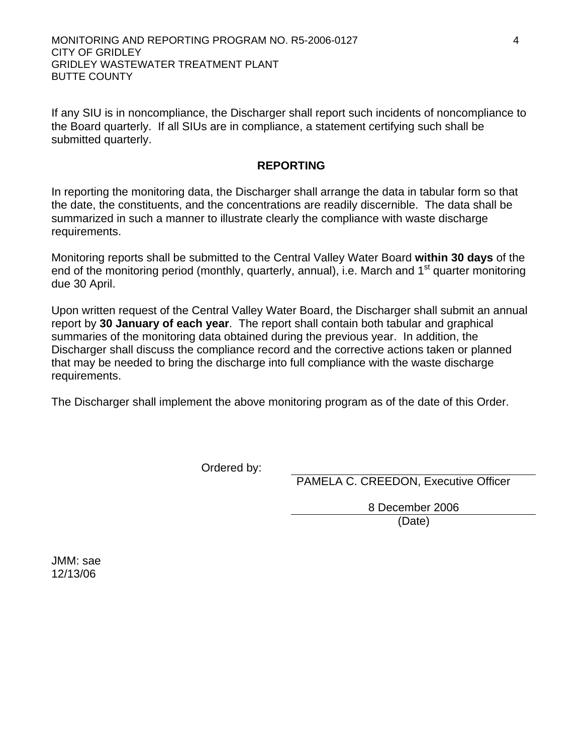MONITORING AND REPORTING PROGRAM NO. R5-2006-0127 4 CITY OF GRIDLEY GRIDLEY WASTEWATER TREATMENT PLANT BUTTE COUNTY

If any SIU is in noncompliance, the Discharger shall report such incidents of noncompliance to the Board quarterly. If all SIUs are in compliance, a statement certifying such shall be submitted quarterly.

#### **REPORTING**

In reporting the monitoring data, the Discharger shall arrange the data in tabular form so that the date, the constituents, and the concentrations are readily discernible. The data shall be summarized in such a manner to illustrate clearly the compliance with waste discharge requirements.

Monitoring reports shall be submitted to the Central Valley Water Board **within 30 days** of the end of the monitoring period (monthly, quarterly, annual), i.e. March and  $1<sup>st</sup>$  quarter monitoring due 30 April.

Upon written request of the Central Valley Water Board, the Discharger shall submit an annual report by **30 January of each year**. The report shall contain both tabular and graphical summaries of the monitoring data obtained during the previous year. In addition, the Discharger shall discuss the compliance record and the corrective actions taken or planned that may be needed to bring the discharge into full compliance with the waste discharge requirements.

The Discharger shall implement the above monitoring program as of the date of this Order.

Ordered by:

PAMELA C. CREEDON, Executive Officer

 8 December 2006 (Date)

JMM: sae 12/13/06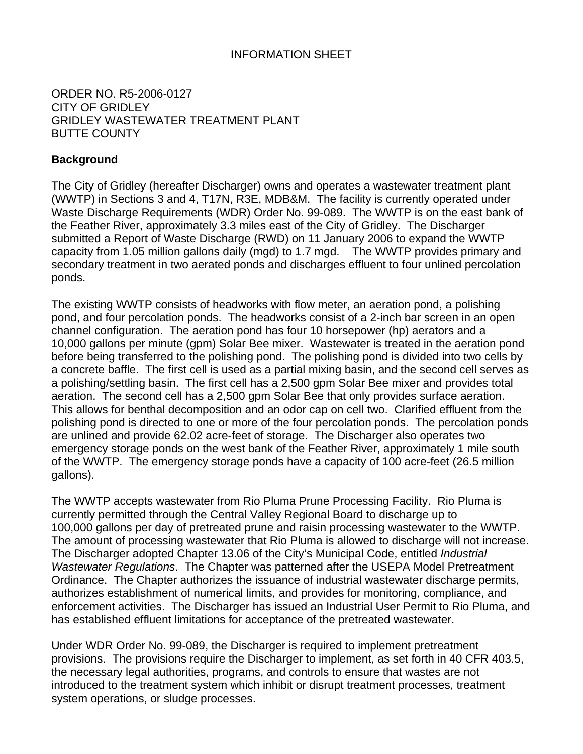# INFORMATION SHEET

# ORDER NO. R5-2006-0127 CITY OF GRIDLEY GRIDLEY WASTEWATER TREATMENT PLANT BUTTE COUNTY

# **Background**

The City of Gridley (hereafter Discharger) owns and operates a wastewater treatment plant (WWTP) in Sections 3 and 4, T17N, R3E, MDB&M. The facility is currently operated under Waste Discharge Requirements (WDR) Order No. 99-089. The WWTP is on the east bank of the Feather River, approximately 3.3 miles east of the City of Gridley. The Discharger submitted a Report of Waste Discharge (RWD) on 11 January 2006 to expand the WWTP capacity from 1.05 million gallons daily (mgd) to 1.7 mgd. The WWTP provides primary and secondary treatment in two aerated ponds and discharges effluent to four unlined percolation ponds.

The existing WWTP consists of headworks with flow meter, an aeration pond, a polishing pond, and four percolation ponds. The headworks consist of a 2-inch bar screen in an open channel configuration. The aeration pond has four 10 horsepower (hp) aerators and a 10,000 gallons per minute (gpm) Solar Bee mixer. Wastewater is treated in the aeration pond before being transferred to the polishing pond. The polishing pond is divided into two cells by a concrete baffle. The first cell is used as a partial mixing basin, and the second cell serves as a polishing/settling basin. The first cell has a 2,500 gpm Solar Bee mixer and provides total aeration. The second cell has a 2,500 gpm Solar Bee that only provides surface aeration. This allows for benthal decomposition and an odor cap on cell two. Clarified effluent from the polishing pond is directed to one or more of the four percolation ponds. The percolation ponds are unlined and provide 62.02 acre-feet of storage. The Discharger also operates two emergency storage ponds on the west bank of the Feather River, approximately 1 mile south of the WWTP. The emergency storage ponds have a capacity of 100 acre-feet (26.5 million gallons).

The WWTP accepts wastewater from Rio Pluma Prune Processing Facility. Rio Pluma is currently permitted through the Central Valley Regional Board to discharge up to 100,000 gallons per day of pretreated prune and raisin processing wastewater to the WWTP. The amount of processing wastewater that Rio Pluma is allowed to discharge will not increase. The Discharger adopted Chapter 13.06 of the City's Municipal Code, entitled *Industrial Wastewater Regulations*. The Chapter was patterned after the USEPA Model Pretreatment Ordinance. The Chapter authorizes the issuance of industrial wastewater discharge permits, authorizes establishment of numerical limits, and provides for monitoring, compliance, and enforcement activities. The Discharger has issued an Industrial User Permit to Rio Pluma, and has established effluent limitations for acceptance of the pretreated wastewater.

Under WDR Order No. 99-089, the Discharger is required to implement pretreatment provisions. The provisions require the Discharger to implement, as set forth in 40 CFR 403.5, the necessary legal authorities, programs, and controls to ensure that wastes are not introduced to the treatment system which inhibit or disrupt treatment processes, treatment system operations, or sludge processes.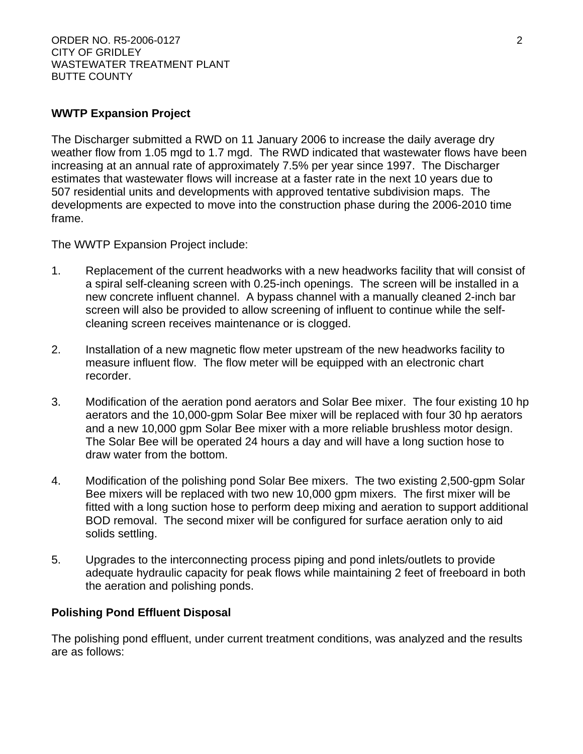# **WWTP Expansion Project**

The Discharger submitted a RWD on 11 January 2006 to increase the daily average dry weather flow from 1.05 mgd to 1.7 mgd. The RWD indicated that wastewater flows have been increasing at an annual rate of approximately 7.5% per year since 1997. The Discharger estimates that wastewater flows will increase at a faster rate in the next 10 years due to 507 residential units and developments with approved tentative subdivision maps. The developments are expected to move into the construction phase during the 2006-2010 time frame.

The WWTP Expansion Project include:

- 1. Replacement of the current headworks with a new headworks facility that will consist of a spiral self-cleaning screen with 0.25-inch openings. The screen will be installed in a new concrete influent channel. A bypass channel with a manually cleaned 2-inch bar screen will also be provided to allow screening of influent to continue while the selfcleaning screen receives maintenance or is clogged.
- 2. Installation of a new magnetic flow meter upstream of the new headworks facility to measure influent flow. The flow meter will be equipped with an electronic chart recorder.
- 3. Modification of the aeration pond aerators and Solar Bee mixer. The four existing 10 hp aerators and the 10,000-gpm Solar Bee mixer will be replaced with four 30 hp aerators and a new 10,000 gpm Solar Bee mixer with a more reliable brushless motor design. The Solar Bee will be operated 24 hours a day and will have a long suction hose to draw water from the bottom.
- 4. Modification of the polishing pond Solar Bee mixers. The two existing 2,500-gpm Solar Bee mixers will be replaced with two new 10,000 gpm mixers. The first mixer will be fitted with a long suction hose to perform deep mixing and aeration to support additional BOD removal. The second mixer will be configured for surface aeration only to aid solids settling.
- 5. Upgrades to the interconnecting process piping and pond inlets/outlets to provide adequate hydraulic capacity for peak flows while maintaining 2 feet of freeboard in both the aeration and polishing ponds.

# **Polishing Pond Effluent Disposal**

The polishing pond effluent, under current treatment conditions, was analyzed and the results are as follows: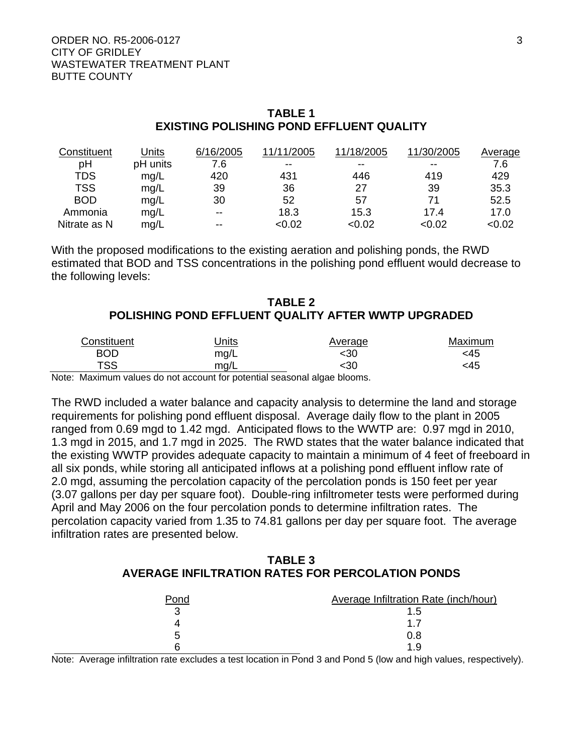# **TABLE 1 EXISTING POLISHING POND EFFLUENT QUALITY**

| Constituent  | Jnits    | 6/16/2005 | 11/11/2005 | 11/18/2005 | 11/30/2005 | Average |
|--------------|----------|-----------|------------|------------|------------|---------|
| рH           | pH units | 7.6       | $- -$      | $-$        | $- -$      | 7.6     |
| <b>TDS</b>   | mq/L     | 420       | 431        | 446        | 419        | 429     |
| <b>TSS</b>   | mg/L     | 39        | 36         | 27         | 39         | 35.3    |
| <b>BOD</b>   | mg/L     | 30        | 52         | 57         | 71         | 52.5    |
| Ammonia      | mg/L     | $- -$     | 18.3       | 15.3       | 17.4       | 17.0    |
| Nitrate as N | mg/L     | $- -$     | < 0.02     | < 0.02     | <0.02      | < 0.02  |

With the proposed modifications to the existing aeration and polishing ponds, the RWD estimated that BOD and TSS concentrations in the polishing pond effluent would decrease to the following levels:

# **TABLE 2 POLISHING POND EFFLUENT QUALITY AFTER WWTP UPGRADED**

| Constituent | Jnits                                                              | Average | Maximum |
|-------------|--------------------------------------------------------------------|---------|---------|
| BOD         | mg/L                                                               | <30     | <45     |
| TSS.        | mg/L                                                               | :30     | <45     |
|             | o Maules politica de not account formatorile concente desa blasses |         |         |

Note: Maximum values do not account for potential seasonal algae blooms.

The RWD included a water balance and capacity analysis to determine the land and storage requirements for polishing pond effluent disposal. Average daily flow to the plant in 2005 ranged from 0.69 mgd to 1.42 mgd. Anticipated flows to the WWTP are: 0.97 mgd in 2010, 1.3 mgd in 2015, and 1.7 mgd in 2025. The RWD states that the water balance indicated that the existing WWTP provides adequate capacity to maintain a minimum of 4 feet of freeboard in all six ponds, while storing all anticipated inflows at a polishing pond effluent inflow rate of 2.0 mgd, assuming the percolation capacity of the percolation ponds is 150 feet per year (3.07 gallons per day per square foot). Double-ring infiltrometer tests were performed during April and May 2006 on the four percolation ponds to determine infiltration rates. The percolation capacity varied from 1.35 to 74.81 gallons per day per square foot. The average infiltration rates are presented below.

# **TABLE 3 AVERAGE INFILTRATION RATES FOR PERCOLATION PONDS**

| Pond | Average Infiltration Rate (inch/hour) |
|------|---------------------------------------|
|      | $1.5^{\circ}$                         |
|      |                                       |
| 5    | 0.8                                   |
|      | 1 Q                                   |

Note: Average infiltration rate excludes a test location in Pond 3 and Pond 5 (low and high values, respectively).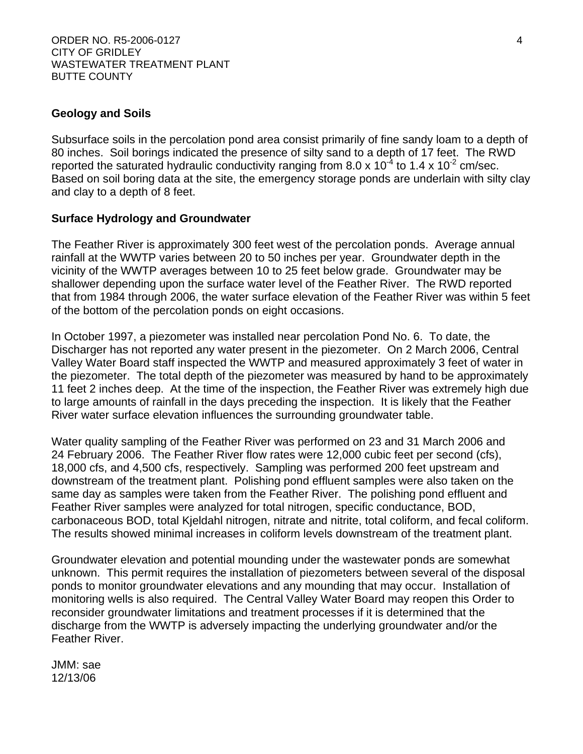# **Geology and Soils**

Subsurface soils in the percolation pond area consist primarily of fine sandy loam to a depth of 80 inches. Soil borings indicated the presence of silty sand to a depth of 17 feet. The RWD reported the saturated hydraulic conductivity ranging from 8.0 x 10<sup>-4</sup> to 1.4 x 10<sup>-2</sup> cm/sec. Based on soil boring data at the site, the emergency storage ponds are underlain with silty clay and clay to a depth of 8 feet.

#### **Surface Hydrology and Groundwater**

The Feather River is approximately 300 feet west of the percolation ponds. Average annual rainfall at the WWTP varies between 20 to 50 inches per year. Groundwater depth in the vicinity of the WWTP averages between 10 to 25 feet below grade. Groundwater may be shallower depending upon the surface water level of the Feather River. The RWD reported that from 1984 through 2006, the water surface elevation of the Feather River was within 5 feet of the bottom of the percolation ponds on eight occasions.

In October 1997, a piezometer was installed near percolation Pond No. 6. To date, the Discharger has not reported any water present in the piezometer. On 2 March 2006, Central Valley Water Board staff inspected the WWTP and measured approximately 3 feet of water in the piezometer. The total depth of the piezometer was measured by hand to be approximately 11 feet 2 inches deep. At the time of the inspection, the Feather River was extremely high due to large amounts of rainfall in the days preceding the inspection. It is likely that the Feather River water surface elevation influences the surrounding groundwater table.

Water quality sampling of the Feather River was performed on 23 and 31 March 2006 and 24 February 2006. The Feather River flow rates were 12,000 cubic feet per second (cfs), 18,000 cfs, and 4,500 cfs, respectively. Sampling was performed 200 feet upstream and downstream of the treatment plant. Polishing pond effluent samples were also taken on the same day as samples were taken from the Feather River. The polishing pond effluent and Feather River samples were analyzed for total nitrogen, specific conductance, BOD, carbonaceous BOD, total Kjeldahl nitrogen, nitrate and nitrite, total coliform, and fecal coliform. The results showed minimal increases in coliform levels downstream of the treatment plant.

Groundwater elevation and potential mounding under the wastewater ponds are somewhat unknown. This permit requires the installation of piezometers between several of the disposal ponds to monitor groundwater elevations and any mounding that may occur. Installation of monitoring wells is also required. The Central Valley Water Board may reopen this Order to reconsider groundwater limitations and treatment processes if it is determined that the discharge from the WWTP is adversely impacting the underlying groundwater and/or the Feather River.

JMM: sae 12/13/06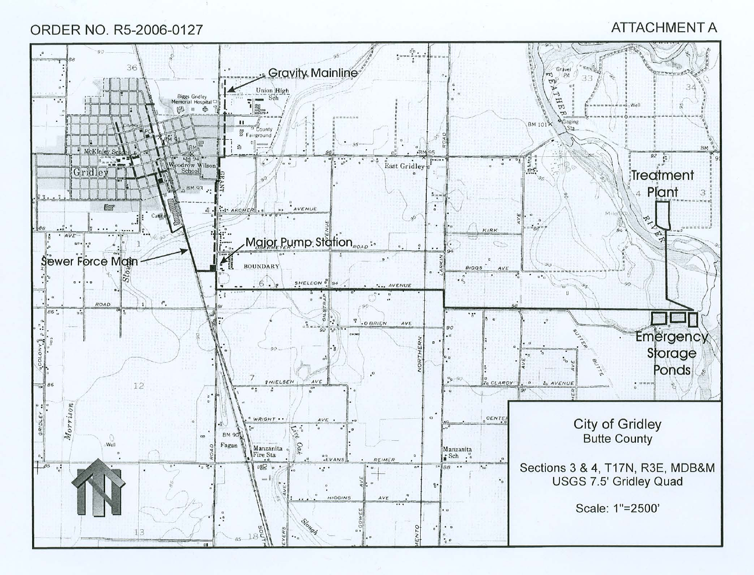# ORDER NO. R5-2006-0127

# **ATTACHMENT A**